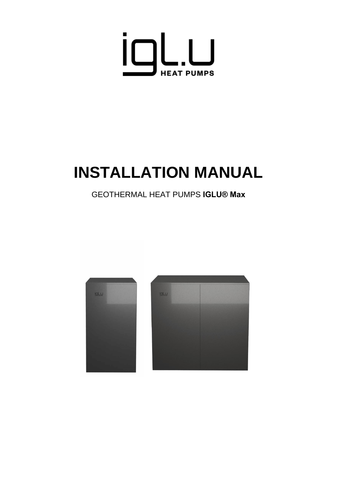

# **INSTALLATION MANUAL**

# GEOTHERMAL HEAT PUMPS **IGLU® Max**

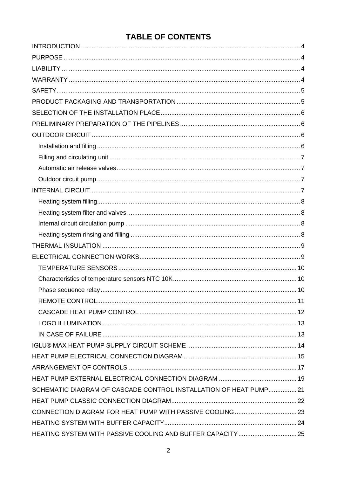# **TABLE OF CONTENTS**

| SCHEMATIC DIAGRAM OF CASCADE CONTROL INSTALLATION OF HEAT PUMP21 |  |
|------------------------------------------------------------------|--|
|                                                                  |  |
|                                                                  |  |
|                                                                  |  |
| HEATING SYSTEM WITH PASSIVE COOLING AND BUFFER CAPACITY  25      |  |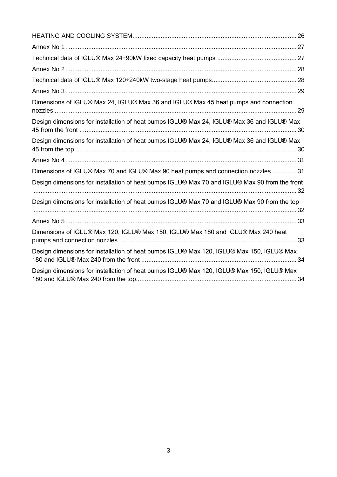| Dimensions of IGLU® Max 24, IGLU® Max 36 and IGLU® Max 45 heat pumps and connection           |
|-----------------------------------------------------------------------------------------------|
| Design dimensions for installation of heat pumps IGLU® Max 24, IGLU® Max 36 and IGLU® Max     |
| Design dimensions for installation of heat pumps IGLU® Max 24, IGLU® Max 36 and IGLU® Max     |
|                                                                                               |
| Dimensions of IGLU® Max 70 and IGLU® Max 90 heat pumps and connection nozzles  31             |
| Design dimensions for installation of heat pumps IGLU® Max 70 and IGLU® Max 90 from the front |
| Design dimensions for installation of heat pumps IGLU® Max 70 and IGLU® Max 90 from the top   |
|                                                                                               |
| Dimensions of IGLU® Max 120, IGLU® Max 150, IGLU® Max 180 and IGLU® Max 240 heat              |
| Design dimensions for installation of heat pumps IGLU® Max 120, IGLU® Max 150, IGLU® Max      |
| Design dimensions for installation of heat pumps IGLU® Max 120, IGLU® Max 150, IGLU® Max      |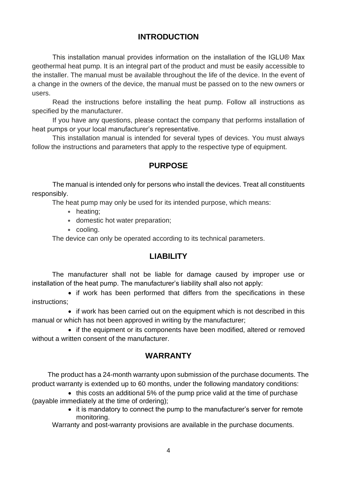# **INTRODUCTION**

<span id="page-3-0"></span>This installation manual provides information on the installation of the IGLU® Max geothermal heat pump. It is an integral part of the product and must be easily accessible to the installer. The manual must be available throughout the life of the device. In the event of a change in the owners of the device, the manual must be passed on to the new owners or users.

Read the instructions before installing the heat pump. Follow all instructions as specified by the manufacturer.

If you have any questions, please contact the company that performs installation of heat pumps or your local manufacturer's representative.

This installation manual is intended for several types of devices. You must always follow the instructions and parameters that apply to the respective type of equipment.

# **PURPOSE**

<span id="page-3-1"></span>The manual is intended only for persons who install the devices. Treat all constituents responsibly.

The heat pump may only be used for its intended purpose, which means:

- **•** heating;
- **•** domestic hot water preparation;
- **•** cooling.

The device can only be operated according to its technical parameters.

#### **LIABILITY**

<span id="page-3-2"></span>The manufacturer shall not be liable for damage caused by improper use or installation of the heat pump. The manufacturer's liability shall also not apply:

• if work has been performed that differs from the specifications in these instructions;

• if work has been carried out on the equipment which is not described in this manual or which has not been approved in writing by the manufacturer;

• if the equipment or its components have been modified, altered or removed without a written consent of the manufacturer.

#### **WARRANTY**

<span id="page-3-3"></span> The product has a 24-month warranty upon submission of the purchase documents. The product warranty is extended up to 60 months, under the following mandatory conditions:

• this costs an additional 5% of the pump price valid at the time of purchase (payable immediately at the time of ordering);

• it is mandatory to connect the pump to the manufacturer's server for remote monitoring.

Warranty and post-warranty provisions are available in the purchase documents.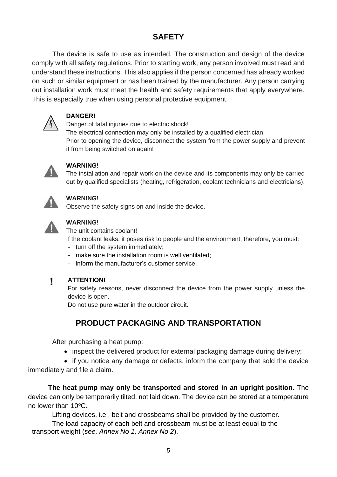# **SAFETY**

<span id="page-4-0"></span>The device is safe to use as intended. The construction and design of the device comply with all safety regulations. Prior to starting work, any person involved must read and understand these instructions. This also applies if the person concerned has already worked on such or similar equipment or has been trained by the manufacturer. Any person carrying out installation work must meet the health and safety requirements that apply everywhere. This is especially true when using personal protective equipment.



#### **DANGER!**

Danger of fatal injuries due to electric shock! The electrical connection may only be installed by a qualified electrician. Prior to opening the device, disconnect the system from the power supply and prevent it from being switched on again!



#### **WARNING!**

The installation and repair work on the device and its components may only be carried out by qualified specialists (heating, refrigeration, coolant technicians and electricians).



#### **WARNING!**

Observe the safety signs on and inside the device.



# **WARNING!**

The unit contains coolant!

If the coolant leaks, it poses risk to people and the environment, therefore, you must:

- **–** turn off the system immediately;
- **–** make sure the installation room is well ventilated;
- **–** inform the manufacturer's customer service.

#### Ţ **ATTENTION!**

For safety reasons, never disconnect the device from the power supply unless the device is open.

Do not use pure water in the outdoor circuit.

# **PRODUCT PACKAGING AND TRANSPORTATION**

<span id="page-4-1"></span>After purchasing a heat pump:

• inspect the delivered product for external packaging damage during delivery;

• if you notice any damage or defects, inform the company that sold the device immediately and file a claim.

**The heat pump may only be transported and stored in an upright position.** The device can only be temporarily tilted, not laid down. The device can be stored at a temperature no lower than  $10^{\circ}$ C.

Lifting devices, i.e., belt and crossbeams shall be provided by the customer.

The load capacity of each belt and crossbeam must be at least equal to the transport weight (*see, Annex No 1, Annex No 2*).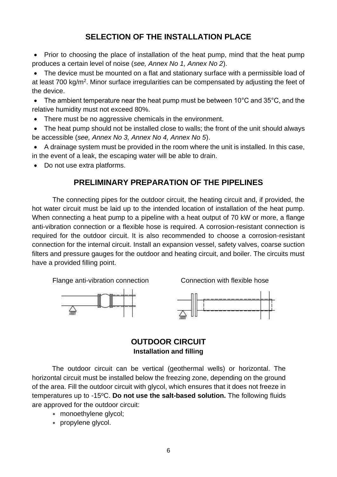# **SELECTION OF THE INSTALLATION PLACE**

<span id="page-5-0"></span>• Prior to choosing the place of installation of the heat pump, mind that the heat pump produces a certain level of noise (*see, Annex No 1, Annex No 2*).

• The device must be mounted on a flat and stationary surface with a permissible load of at least 700 kg/m<sup>2</sup>. Minor surface irregularities can be compensated by adjusting the feet of the device.

• The ambient temperature near the heat pump must be between 10°C and 35°C, and the relative humidity must not exceed 80%.

• There must be no aggressive chemicals in the environment.

• The heat pump should not be installed close to walls; the front of the unit should always be accessible (*see, Annex No 3, Annex No 4, Annex No 5*).

• A drainage system must be provided in the room where the unit is installed. In this case, in the event of a leak, the escaping water will be able to drain.

<span id="page-5-1"></span>• Do not use extra platforms.

#### **PRELIMINARY PREPARATION OF THE PIPELINES**

The connecting pipes for the outdoor circuit, the heating circuit and, if provided, the hot water circuit must be laid up to the intended location of installation of the heat pump. When connecting a heat pump to a pipeline with a heat output of 70 kW or more, a flange anti-vibration connection or a flexible hose is required. A corrosion-resistant connection is required for the outdoor circuit. It is also recommended to choose a corrosion-resistant connection for the internal circuit. Install an expansion vessel, safety valves, coarse suction filters and pressure gauges for the outdoor and heating circuit, and boiler. The circuits must have a provided filling point.

Flange anti-vibration connection Connection with flexible hose







#### **OUTDOOR CIRCUIT Installation and filling**

<span id="page-5-3"></span><span id="page-5-2"></span>The outdoor circuit can be vertical (geothermal wells) or horizontal. The horizontal circuit must be installed below the freezing zone, depending on the ground of the area. Fill the outdoor circuit with glycol, which ensures that it does not freeze in temperatures up to -15<sup>o</sup>C. **Do not use the salt-based solution.** The following fluids are approved for the outdoor circuit:

- **•** monoethylene glycol;
- **•** propylene glycol.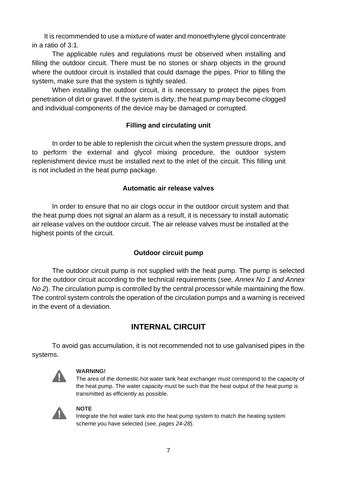It is recommended to use a mixture of water and monoethylene glycol concentrate in a ratio of 3:1.

The applicable rules and regulations must be observed when installing and filling the outdoor circuit. There must be no stones or sharp objects in the ground where the outdoor circuit is installed that could damage the pipes. Prior to filling the system, make sure that the system is tightly sealed.

When installing the outdoor circuit, it is necessary to protect the pipes from penetration of dirt or gravel. If the system is dirty, the heat pump may become clogged and individual components of the device may be damaged or corrupted.

#### **Filling and circulating unit**

<span id="page-6-0"></span>In order to be able to replenish the circuit when the system pressure drops, and to perform the external and glycol mixing procedure, the outdoor system replenishment device must be installed next to the inlet of the circuit. This filling unit is not included in the heat pump package.

#### **Automatic air release valves**

<span id="page-6-1"></span>In order to ensure that no air clogs occur in the outdoor circuit system and that the heat pump does not signal an alarm as a result, it is necessary to install automatic air release valves on the outdoor circuit. The air release valves must be installed at the highest points of the circuit.

#### **Outdoor circuit pump**

<span id="page-6-2"></span>The outdoor circuit pump is not supplied with the heat pump. The pump is selected for the outdoor circuit according to the technical requirements (*see, Annex No 1 and Annex No 2*). The circulation pump is controlled by the central processor while maintaining the flow. The control system controls the operation of the circulation pumps and a warning is received in the event of a deviation.

# **INTERNAL CIRCUIT**

<span id="page-6-3"></span>To avoid gas accumulation, it is not recommended not to use galvanised pipes in the systems.



#### **WARNING!**

The area of the domestic hot water tank heat exchanger must correspond to the capacity of the heat pump. The water capacity must be such that the heat output of the heat pump is transmitted as efficiently as possible.



#### **NOTE**

Integrate the hot water tank into the heat pump system to match the heating system scheme you have selected (*see, pages 24-28*).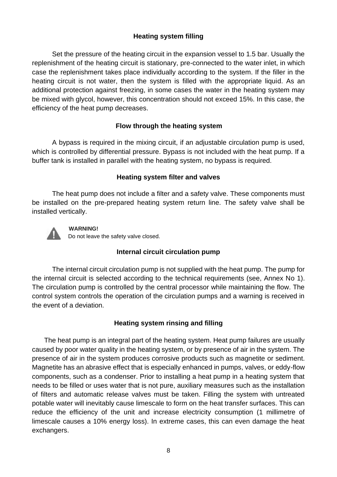#### **Heating system filling**

<span id="page-7-0"></span>Set the pressure of the heating circuit in the expansion vessel to 1.5 bar. Usually the replenishment of the heating circuit is stationary, pre-connected to the water inlet, in which case the replenishment takes place individually according to the system. If the filler in the heating circuit is not water, then the system is filled with the appropriate liquid. As an additional protection against freezing, in some cases the water in the heating system may be mixed with glycol, however, this concentration should not exceed 15%. In this case, the efficiency of the heat pump decreases.

#### **Flow through the heating system**

A bypass is required in the mixing circuit, if an adjustable circulation pump is used, which is controlled by differential pressure. Bypass is not included with the heat pump. If a buffer tank is installed in parallel with the heating system, no bypass is required.

#### **Heating system filter and valves**

<span id="page-7-1"></span>The heat pump does not include a filter and a safety valve. These components must be installed on the pre-prepared heating system return line. The safety valve shall be installed vertically.



#### **WARNING!**

Do not leave the safety valve closed.

#### **Internal circuit circulation pump**

<span id="page-7-2"></span>The internal circuit circulation pump is not supplied with the heat pump. The pump for the internal circuit is selected according to the technical requirements (see, Annex No 1). The circulation pump is controlled by the central processor while maintaining the flow. The control system controls the operation of the circulation pumps and a warning is received in the event of a deviation.

#### **Heating system rinsing and filling**

<span id="page-7-3"></span>The heat pump is an integral part of the heating system. Heat pump failures are usually caused by poor water quality in the heating system, or by presence of air in the system. The presence of air in the system produces corrosive products such as magnetite or sediment. Magnetite has an abrasive effect that is especially enhanced in pumps, valves, or eddy-flow components, such as a condenser. Prior to installing a heat pump in a heating system that needs to be filled or uses water that is not pure, auxiliary measures such as the installation of filters and automatic release valves must be taken. Filling the system with untreated potable water will inevitably cause limescale to form on the heat transfer surfaces. This can reduce the efficiency of the unit and increase electricity consumption (1 millimetre of limescale causes a 10% energy loss). In extreme cases, this can even damage the heat exchangers.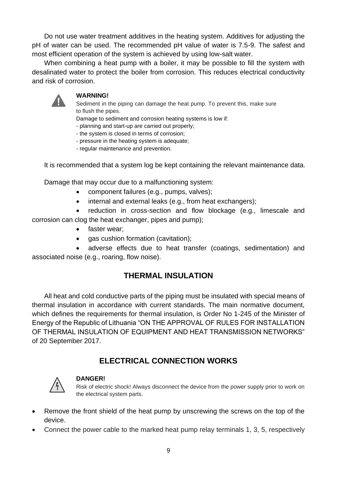Do not use water treatment additives in the heating system. Additives for adjusting the pH of water can be used. The recommended pH value of water is 7.5-9. The safest and most efficient operation of the system is achieved by using low-salt water.

When combining a heat pump with a boiler, it may be possible to fill the system with desalinated water to protect the boiler from corrosion. This reduces electrical conductivity and risk of corrosion.



#### **WARNING!**

Sediment in the piping can damage the heat pump. To prevent this, make sure to flush the pipes.

Damage to sediment and corrosion heating systems is low if:

- planning and start-up are carried out properly;
- the system is closed in terms of corrosion;
- pressure in the heating system is adequate;
- regular maintenance and prevention.

It is recommended that a system log be kept containing the relevant maintenance data.

Damage that may occur due to a malfunctioning system:

- component failures (e.g., pumps, valves);
- internal and external leaks (e.g., from heat exchangers);

• reduction in cross-section and flow blockage (e.g., limescale and corrosion can clog the heat exchanger, pipes and pump);

- faster wear;
- gas cushion formation (cavitation);

• adverse effects due to heat transfer (coatings, sedimentation) and associated noise (e.g., roaring, flow noise).

# **THERMAL INSULATION**

<span id="page-8-0"></span>All heat and cold conductive parts of the piping must be insulated with special means of thermal insulation in accordance with current standards. The main normative document, which defines the requirements for thermal insulation, is Order No 1-245 of the Minister of Energy of the Republic of Lithuania "ON THE APPROVAL OF RULES FOR INSTALLATION OF THERMAL INSULATION OF EQUIPMENT AND HEAT TRANSMISSION NETWORKS" of 20 September 2017.

# **ELECTRICAL CONNECTION WORKS**

<span id="page-8-1"></span>

#### **DANGER!**

Risk of electric shock! Always disconnect the device from the power supply prior to work on the electrical system parts.

- Remove the front shield of the heat pump by unscrewing the screws on the top of the device.
- Connect the power cable to the marked heat pump relay terminals 1, 3, 5, respectively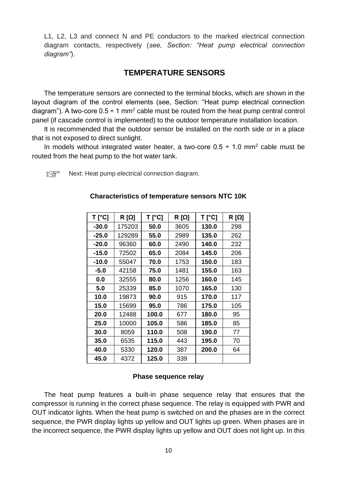<span id="page-9-0"></span>L1, L2, L3 and connect N and PE conductors to the marked electrical connection diagram contacts, respectively (*see, Section: "Heat pump electrical connection diagram"*).

# **TEMPERATURE SENSORS**

The temperature sensors are connected to the terminal blocks, which are shown in the layout diagram of the control elements (see, Section: "Heat pump electrical connection diagram"). A two-core  $0.5 \div 1$  mm<sup>2</sup> cable must be routed from the heat pump central control panel (if cascade control is implemented) to the outdoor temperature installation location.

It is recommended that the outdoor sensor be installed on the north side or in a place that is not exposed to direct sunlight.

In models without integrated water heater, a two-core  $0.5 \div 1.0$  mm<sup>2</sup> cable must be routed from the heat pump to the hot water tank.

<span id="page-9-1"></span> $\mathbb{R}$  Next: Heat pump electrical connection diagram.

| $T [^{\circ}C]$ | $R[\Omega]$ | <b>T</b> [°C] | $R[\Omega]$ | $T$ [°C] | R [Ω] |
|-----------------|-------------|---------------|-------------|----------|-------|
| $-30.0$         | 175203      | 50.0          | 3605        | 130.0    | 298   |
| $-25.0$         | 129289      | 55.0          | 2989        | 135.0    | 262   |
| $-20.0$         | 96360       | 60.0          | 2490        | 140.0    | 232   |
| $-15.0$         | 72502       | 65.0          | 2084        | 145.0    | 206   |
| $-10.0$         | 55047       | 70.0          | 1753        | 150.0    | 183   |
| $-5.0$          | 42158       | 75.0          | 1481        | 155.0    | 163   |
| 0.0             | 32555       | 80.0          | 1256        | 160.0    | 145   |
| 5.0             | 25339       | 85.0          | 1070        | 165.0    | 130   |
| 10.0            | 19873       | 90.0          | 915         | 170.0    | 117   |
| 15.0            | 15699       | 95.0          | 786         | 175.0    | 105   |
| 20.0            | 12488       | 100.0         | 677         | 180.0    | 95    |
| 25.0            | 10000       | 105.0         | 586         | 185.0    | 85    |
| 30.0            | 8059        | 110.0         | 508         | 190.0    | 77    |
| 35.0            | 6535        | 115.0         | 443         | 195.0    | 70    |
| 40.0            | 5330        | 120.0         | 387         | 200.0    | 64    |
| 45.0            | 4372        | 125.0         | 339         |          |       |

#### **Characteristics of temperature sensors NTC 10K**

#### **Phase sequence relay**

<span id="page-9-2"></span>The heat pump features a built-in phase sequence relay that ensures that the compressor is running in the correct phase sequence. The relay is equipped with PWR and OUT indicator lights. When the heat pump is switched on and the phases are in the correct sequence, the PWR display lights up yellow and OUT lights up green. When phases are in the incorrect sequence, the PWR display lights up yellow and OUT does not light up. In this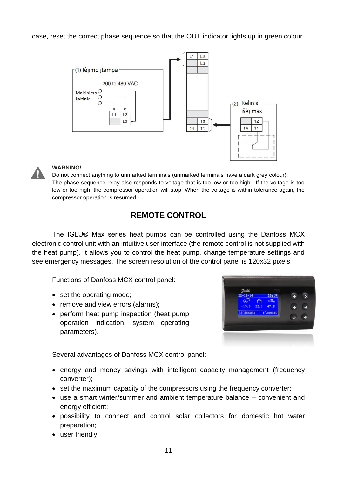case, reset the correct phase sequence so that the OUT indicator lights up in green colour.





#### **WARNING!**

Do not connect anything to unmarked terminals (unmarked terminals have a dark grey colour). The phase sequence relay also responds to voltage that is too low or too high. If the voltage is too low or too high, the compressor operation will stop. When the voltage is within tolerance again, the compressor operation is resumed.

# **REMOTE CONTROL**

<span id="page-10-0"></span>The IGLU® Max series heat pumps can be controlled using the Danfoss MCX electronic control unit with an intuitive user interface (the remote control is not supplied with the heat pump). It allows you to control the heat pump, change temperature settings and see emergency messages. The screen resolution of the control panel is 120x32 pixels.

Functions of Danfoss MCX control panel:

- set the operating mode;
- remove and view errors (alarms);
- perform heat pump inspection (heat pump operation indication, system operating parameters).



Several advantages of Danfoss MCX control panel:

- energy and money savings with intelligent capacity management (frequency converter);
- set the maximum capacity of the compressors using the frequency converter;
- use a smart winter/summer and ambient temperature balance convenient and energy efficient;
- possibility to connect and control solar collectors for domestic hot water preparation;
- user friendly.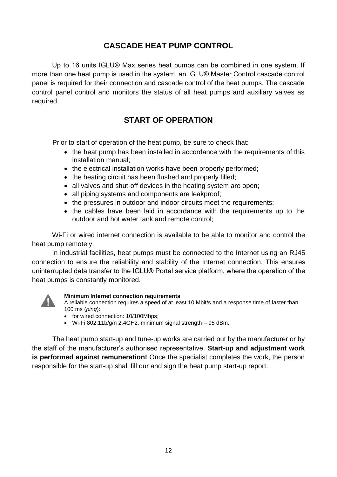# **CASCADE HEAT PUMP CONTROL**

<span id="page-11-0"></span>Up to 16 units IGLU® Max series heat pumps can be combined in one system. If more than one heat pump is used in the system, an IGLU® Master Control cascade control panel is required for their connection and cascade control of the heat pumps. The cascade control panel control and monitors the status of all heat pumps and auxiliary valves as required.

# **START OF OPERATION**

Prior to start of operation of the heat pump, be sure to check that:

- the heat pump has been installed in accordance with the requirements of this installation manual;
- the electrical installation works have been properly performed;
- the heating circuit has been flushed and properly filled:
- all valves and shut-off devices in the heating system are open:
- all piping systems and components are leakproof;
- the pressures in outdoor and indoor circuits meet the requirements;
- the cables have been laid in accordance with the requirements up to the outdoor and hot water tank and remote control;

Wi-Fi or wired internet connection is available to be able to monitor and control the heat pump remotely.

In industrial facilities, heat pumps must be connected to the Internet using an RJ45 connection to ensure the reliability and stability of the Internet connection. This ensures uninterrupted data transfer to the IGLU® Portal service platform, where the operation of the heat pumps is constantly monitored.



#### **Minimum Internet connection requirements**

A reliable connection requires a speed of at least 10 Mbit/s and a response time of faster than 100 ms (*ping*):

- for wired connection: 10/100Mbps;
- Wi-Fi 802.11b/g/n 2.4GHz, minimum signal strength 95 dBm.

<span id="page-11-1"></span>The heat pump start-up and tune-up works are carried out by the manufacturer or by the staff of the manufacturer's authorised representative. **Start-up and adjustment work is performed against remuneration!** Once the specialist completes the work, the person responsible for the start-up shall fill our and sign the heat pump start-up report.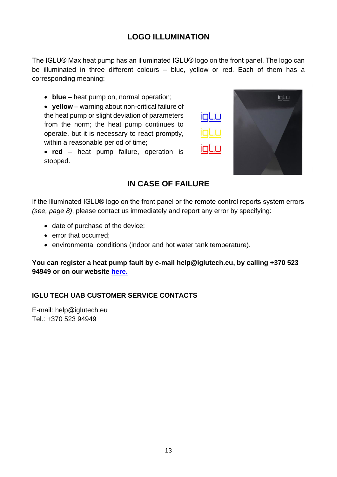# **LOGO ILLUMINATION**

The IGLU® Max heat pump has an illuminated IGLU® logo on the front panel. The logo can be illuminated in three different colours – blue, yellow or red. Each of them has a corresponding meaning:

• **blue** – heat pump on, normal operation;

• **yellow** – warning about non-critical failure of the heat pump or slight deviation of parameters from the norm; the heat pump continues to operate, but it is necessary to react promptly, within a reasonable period of time;





#### **IN CASE OF FAILURE**

<span id="page-12-0"></span>If the illuminated IGLU® logo on the front panel or the remote control reports system errors *(see, page 8)*, please contact us immediately and report any error by specifying:

- date of purchase of the device;
- error that occurred;
- environmental conditions (indoor and hot water tank temperature).

**You can register a heat pump fault by e-mail help@iglutech.eu, by calling +370 523 94949 or on our website [here.](https://igluheatpumps.com/lt/#Contacts)**

#### **IGLU TECH UAB CUSTOMER SERVICE CONTACTS**

E-mail: help@iglutech.eu Tel.: +370 523 94949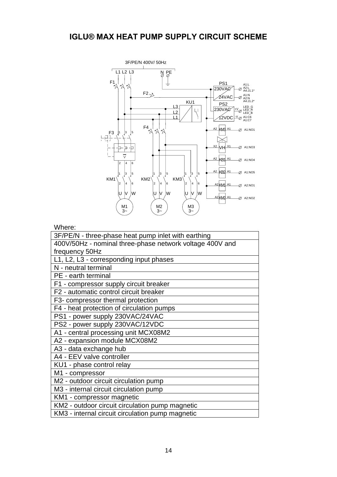<span id="page-13-0"></span>

#### Where:

| ,,,,,,,,,,                                               |
|----------------------------------------------------------|
| 3F/PE/N - three-phase heat pump inlet with earthing      |
| 400V/50Hz - nominal three-phase network voltage 400V and |
| frequency 50Hz                                           |
| L1, L2, L3 - corresponding input phases                  |
| N - neutral terminal                                     |
| PE - earth terminal                                      |
| F1 - compressor supply circuit breaker                   |
| F2 - automatic control circuit breaker                   |
| F3- compressor thermal protection                        |
| F4 - heat protection of circulation pumps                |
| PS1 - power supply 230VAC/24VAC                          |
| PS2 - power supply 230VAC/12VDC                          |
| A1 - central processing unit MCX08M2                     |
| A2 - expansion module MCX08M2                            |
| A3 - data exchange hub                                   |
| A4 - EEV valve controller                                |
| KU1 - phase control relay                                |
| M1 - compressor                                          |
| M2 - outdoor circuit circulation pump                    |
| M3 - internal circuit circulation pump                   |
| KM1 - compressor magnetic                                |
| KM2 - outdoor circuit circulation pump magnetic          |
| KM3 - internal circuit circulation pump magnetic         |
|                                                          |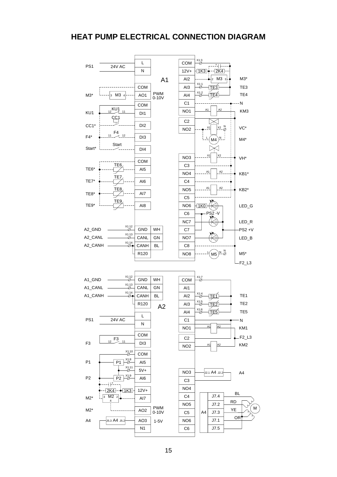#### <span id="page-14-0"></span>**HEAT PUMP ELECTRICAL CONNECTION DIAGRAM**

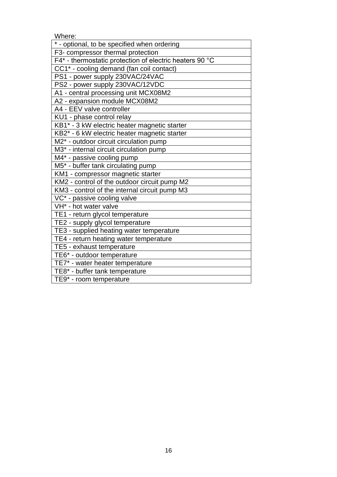Where:

| * - optional, to be specified when ordering             |
|---------------------------------------------------------|
| F3- compressor thermal protection                       |
| F4* - thermostatic protection of electric heaters 90 °C |
| CC1* - cooling demand (fan coil contact)                |
| PS1 - power supply 230VAC/24VAC                         |
| PS2 - power supply 230VAC/12VDC                         |
| A1 - central processing unit MCX08M2                    |
| A2 - expansion module MCX08M2                           |
| A4 - EEV valve controller                               |
| KU1 - phase control relay                               |
| KB1* - 3 kW electric heater magnetic starter            |
| KB2* - 6 kW electric heater magnetic starter            |
| M2* - outdoor circuit circulation pump                  |
| M3 <sup>*</sup> - internal circuit circulation pump     |
| M4* - passive cooling pump                              |
| M5* - buffer tank circulating pump                      |
| KM1 - compressor magnetic starter                       |
| KM2 - control of the outdoor circuit pump M2            |
| KM3 - control of the internal circuit pump M3           |
| VC* - passive cooling valve                             |
| VH <sup>*</sup> - hot water valve                       |
| TE1 - return glycol temperature                         |
| TE2 - supply glycol temperature                         |
| TE3 - supplied heating water temperature                |
| TE4 - return heating water temperature                  |
| TE5 - exhaust temperature                               |
| TE6* - outdoor temperature                              |
| TE7* - water heater temperature                         |
| TE8* - buffer tank temperature                          |
| TE9* - room temperature                                 |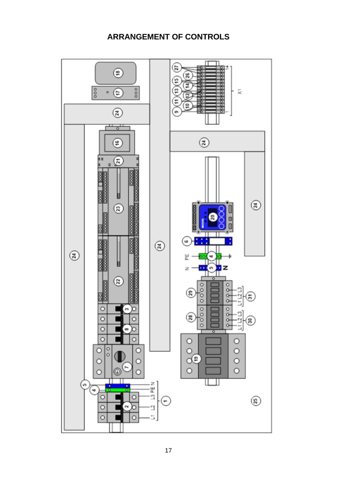# **ARRANGEMENT OF CONTROLS**

<span id="page-16-0"></span>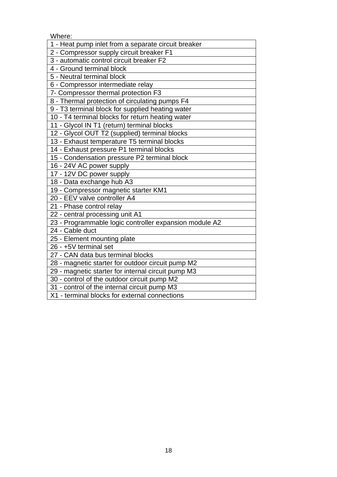Where:

| ,,,,,,,,,,                                             |
|--------------------------------------------------------|
| 1 - Heat pump inlet from a separate circuit breaker    |
| 2 - Compressor supply circuit breaker F1               |
| 3 - automatic control circuit breaker F2               |
| 4 - Ground terminal block                              |
| 5 - Neutral terminal block                             |
| 6 - Compressor intermediate relay                      |
| 7- Compressor thermal protection F3                    |
| 8 - Thermal protection of circulating pumps F4         |
| 9 - T3 terminal block for supplied heating water       |
| 10 - T4 terminal blocks for return heating water       |
| 11 - Glycol IN T1 (return) terminal blocks             |
| 12 - Glycol OUT T2 (supplied) terminal blocks          |
| 13 - Exhaust temperature T5 terminal blocks            |
| 14 - Exhaust pressure P1 terminal blocks               |
| 15 - Condensation pressure P2 terminal block           |
| 16 - 24V AC power supply                               |
| 17 - 12V DC power supply                               |
| 18 - Data exchange hub A3                              |
| 19 - Compressor magnetic starter KM1                   |
| 20 - EEV valve controller A4                           |
| 21 - Phase control relay                               |
| 22 - central processing unit A1                        |
| 23 - Programmable logic controller expansion module A2 |
| 24 - Cable duct                                        |
| 25 - Element mounting plate                            |
| 26 - +5V terminal set                                  |
| 27 - CAN data bus terminal blocks                      |
| 28 - magnetic starter for outdoor circuit pump M2      |
| 29 - magnetic starter for internal circuit pump M3     |
| 30 - control of the outdoor circuit pump M2            |
| 31 - control of the internal circuit pump M3           |
| X1 - terminal blocks for external connections          |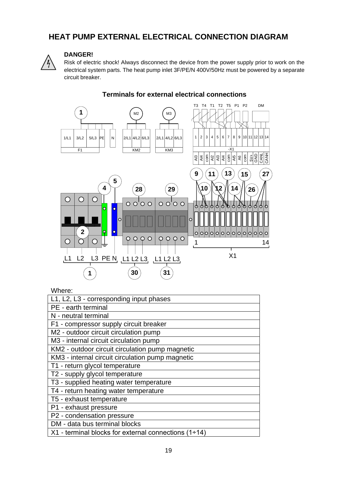# <span id="page-18-0"></span>**HEAT PUMP EXTERNAL ELECTRICAL CONNECTION DIAGRAM**



#### **DANGER!**

Risk of electric shock! Always disconnect the device from the power supply prior to work on the electrical system parts. The heat pump inlet 3F/PE/N 400V/50Hz must be powered by a separate circuit breaker.



#### **Terminals for external electrical connections**

| Where: |  |
|--------|--|
|--------|--|

| L1, L2, L3 - corresponding input phases                |
|--------------------------------------------------------|
| PE - earth terminal                                    |
| N - neutral terminal                                   |
| F1 - compressor supply circuit breaker                 |
| M2 - outdoor circuit circulation pump                  |
| M3 - internal circuit circulation pump                 |
| KM2 - outdoor circuit circulation pump magnetic        |
| KM3 - internal circuit circulation pump magnetic       |
| T1 - return glycol temperature                         |
| T2 - supply glycol temperature                         |
| T3 - supplied heating water temperature                |
| T4 - return heating water temperature                  |
| T5 - exhaust temperature                               |
| P1 - exhaust pressure                                  |
| P2 - condensation pressure                             |
| DM - data bus terminal blocks                          |
| $X1$ - terminal blocks for external connections (1+14) |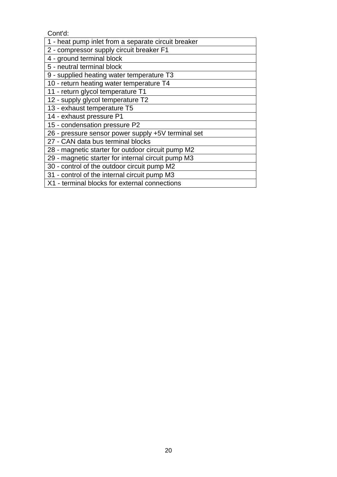Cont'd:

| 1 - heat pump inlet from a separate circuit breaker |
|-----------------------------------------------------|
| 2 - compressor supply circuit breaker F1            |
| 4 - ground terminal block                           |
| 5 - neutral terminal block                          |
| 9 - supplied heating water temperature T3           |
| 10 - return heating water temperature T4            |
| 11 - return glycol temperature T1                   |
| 12 - supply glycol temperature T2                   |
| 13 - exhaust temperature T5                         |
| 14 - exhaust pressure P1                            |
| 15 - condensation pressure P2                       |
| 26 - pressure sensor power supply +5V terminal set  |
| 27 - CAN data bus terminal blocks                   |
| 28 - magnetic starter for outdoor circuit pump M2   |
| 29 - magnetic starter for internal circuit pump M3  |
| 30 - control of the outdoor circuit pump M2         |
| 31 - control of the internal circuit pump M3        |
| X1 - terminal blocks for external connections       |
|                                                     |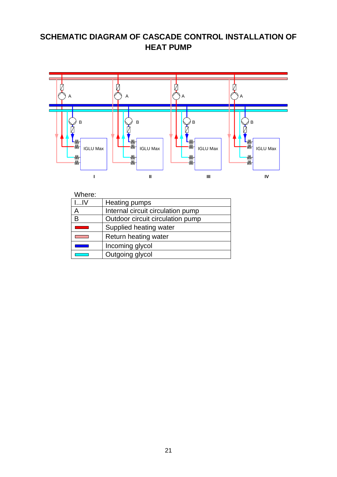# <span id="page-20-0"></span>**SCHEMATIC DIAGRAM OF CASCADE CONTROL INSTALLATION OF HEAT PUMP**



| Where:         |                                   |
|----------------|-----------------------------------|
| $L_{\cdot}$ JV | Heating pumps                     |
|                | Internal circuit circulation pump |
| B              | Outdoor circuit circulation pump  |
|                | Supplied heating water            |
|                | Return heating water              |
|                | Incoming glycol                   |
|                | Outgoing glycol                   |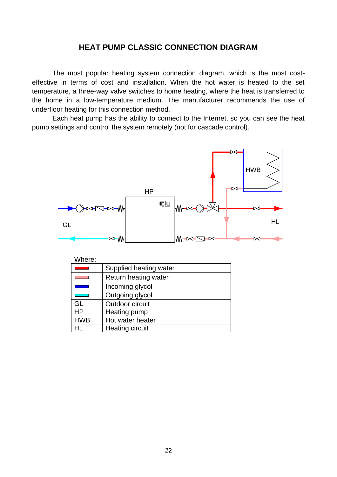#### **HEAT PUMP CLASSIC CONNECTION DIAGRAM**

<span id="page-21-0"></span>The most popular heating system connection diagram, which is the most costeffective in terms of cost and installation. When the hot water is heated to the set temperature, a three-way valve switches to home heating, where the heat is transferred to the home in a low-temperature medium. The manufacturer recommends the use of underfloor heating for this connection method.



| Where: |  |  |  |
|--------|--|--|--|
|        |  |  |  |

|            | Supplied heating water |
|------------|------------------------|
|            | Return heating water   |
|            | Incoming glycol        |
|            | Outgoing glycol        |
| GL         | Outdoor circuit        |
| <b>HP</b>  | Heating pump           |
| <b>HWB</b> | Hot water heater       |
| ٩L         | Heating circuit        |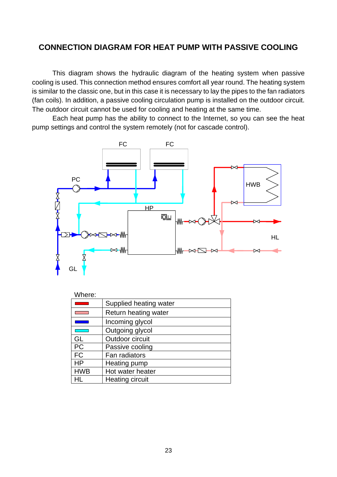#### <span id="page-22-0"></span>**CONNECTION DIAGRAM FOR HEAT PUMP WITH PASSIVE COOLING**

This diagram shows the hydraulic diagram of the heating system when passive cooling is used. This connection method ensures comfort all year round. The heating system is similar to the classic one, but in this case it is necessary to lay the pipes to the fan radiators (fan coils). In addition, a passive cooling circulation pump is installed on the outdoor circuit. The outdoor circuit cannot be used for cooling and heating at the same time.



| Where:     |                        |
|------------|------------------------|
|            | Supplied heating water |
|            | Return heating water   |
|            | Incoming glycol        |
|            | Outgoing glycol        |
| GL         | Outdoor circuit        |
| <b>PC</b>  | Passive cooling        |
| <b>FC</b>  | Fan radiators          |
| <b>HP</b>  | Heating pump           |
| <b>HWB</b> | Hot water heater       |
| łL.        | <b>Heating circuit</b> |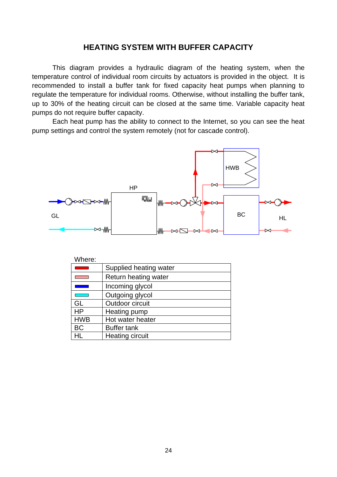#### **HEATING SYSTEM WITH BUFFER CAPACITY**

<span id="page-23-0"></span>This diagram provides a hydraulic diagram of the heating system, when the temperature control of individual room circuits by actuators is provided in the object. It is recommended to install a buffer tank for fixed capacity heat pumps when planning to regulate the temperature for individual rooms. Otherwise, without installing the buffer tank, up to 30% of the heating circuit can be closed at the same time. Variable capacity heat pumps do not require buffer capacity.



| Where:     |                        |
|------------|------------------------|
|            | Supplied heating water |
|            | Return heating water   |
|            | Incoming glycol        |
|            | Outgoing glycol        |
| GL         | Outdoor circuit        |
| <b>HP</b>  | Heating pump           |
| <b>HWB</b> | Hot water heater       |
| <b>BC</b>  | <b>Buffer tank</b>     |
| HL         | Heating circuit        |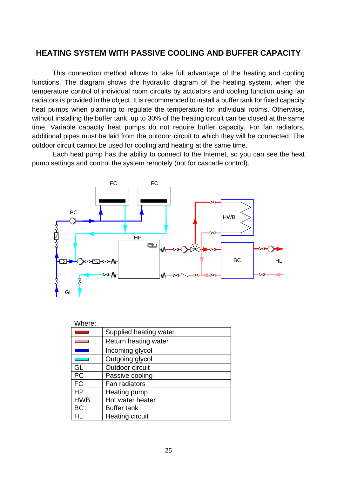#### <span id="page-24-0"></span>**HEATING SYSTEM WITH PASSIVE COOLING AND BUFFER CAPACITY**

This connection method allows to take full advantage of the heating and cooling functions. The diagram shows the hydraulic diagram of the heating system, when the temperature control of individual room circuits by actuators and cooling function using fan radiators is provided in the object. It is recommended to install a buffer tank for fixed capacity heat pumps when planning to regulate the temperature for individual rooms. Otherwise, without installing the buffer tank, up to 30% of the heating circuit can be closed at the same time. Variable capacity heat pumps do not require buffer capacity. For fan radiators, additional pipes must be laid from the outdoor circuit to which they will be connected. The outdoor circuit cannot be used for cooling and heating at the same time.



| Where:     |                        |
|------------|------------------------|
|            | Supplied heating water |
|            | Return heating water   |
|            | Incoming glycol        |
|            | Outgoing glycol        |
| GL         | Outdoor circuit        |
| <b>PC</b>  | Passive cooling        |
| <b>FC</b>  | Fan radiators          |
| ΗP         | Heating pump           |
| <b>HWB</b> | Hot water heater       |
| BC         | <b>Buffer tank</b>     |
| -II        | Heating circuit        |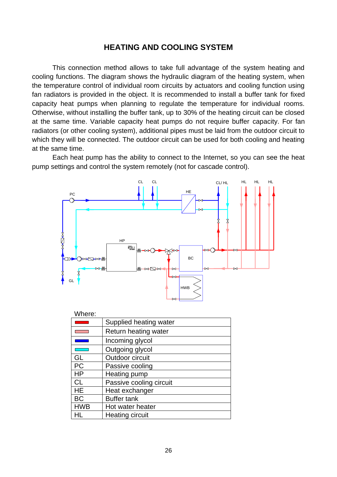#### **HEATING AND COOLING SYSTEM**

<span id="page-25-0"></span>This connection method allows to take full advantage of the system heating and cooling functions. The diagram shows the hydraulic diagram of the heating system, when the temperature control of individual room circuits by actuators and cooling function using fan radiators is provided in the object. It is recommended to install a buffer tank for fixed capacity heat pumps when planning to regulate the temperature for individual rooms. Otherwise, without installing the buffer tank, up to 30% of the heating circuit can be closed at the same time. Variable capacity heat pumps do not require buffer capacity. For fan radiators (or other cooling system), additional pipes must be laid from the outdoor circuit to which they will be connected. The outdoor circuit can be used for both cooling and heating at the same time.



| Where:     |                         |
|------------|-------------------------|
|            | Supplied heating water  |
|            | Return heating water    |
|            | Incoming glycol         |
|            | Outgoing glycol         |
| GL         | Outdoor circuit         |
| <b>PC</b>  | Passive cooling         |
| HP         | Heating pump            |
| CL         | Passive cooling circuit |
| HE         | Heat exchanger          |
| ВC         | <b>Buffer tank</b>      |
| <b>HWB</b> | Hot water heater        |
| HL         | Heating circuit         |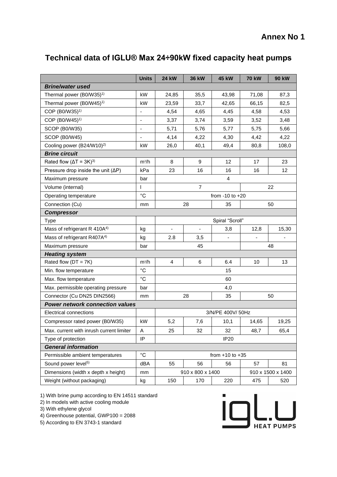# **Annex No 1**

# <span id="page-26-1"></span><span id="page-26-0"></span>**Technical data of IGLU® Max 24÷90kW fixed capacity heat pumps**

|                                            | <b>Units</b>   | <b>24 kW</b>                          | <b>36 kW</b>   | <b>45 kW</b>        | <b>70 kW</b> | <b>90 kW</b> |
|--------------------------------------------|----------------|---------------------------------------|----------------|---------------------|--------------|--------------|
| <b>Brine/water used</b>                    |                |                                       |                |                     |              |              |
| Thermal power (B0/W35) <sup>1)</sup>       | kW             | 24,85                                 | 35,5           | 43,98               | 71,08        | 87,3         |
| Thermal power (B0/W45) <sup>1)</sup>       | kW             | 23,59                                 | 33,7           | 42,65               | 66,15        | 82,5         |
| COP (B0/W35) <sup>1)</sup>                 | $\blacksquare$ | 4,54                                  | 4,65           | 4,45                | 4,58         | 4,53         |
| COP (B0/W45) <sup>1)</sup>                 |                | 3,37                                  | 3,74           | 3,59                | 3,52         | 3,48         |
| <b>SCOP (B0/W35)</b>                       | $\blacksquare$ | 5,71                                  | 5,76           | 5,77                | 5,75         | 5,66         |
| SCOP (B0/W45)                              |                | 4,14                                  | 4,22           | 4,30                | 4,42         | 4,22         |
| Cooling power (B24/W10) <sup>2)</sup>      | kW             | 26,0                                  | 40,1           | 49,4                | 80,8         | 108,0        |
| <b>Brine circuit</b>                       |                |                                       |                |                     |              |              |
| Rated flow $(\Delta T = 3K)^{3}$           | $m^3/h$        | 8                                     | 9              | 12                  | 17           | 23           |
| Pressure drop inside the unit $(\Delta P)$ | kPa            | 23                                    | 16             | 16                  | 16           | 12           |
| Maximum pressure                           | bar            | $\overline{4}$                        |                |                     |              |              |
| Volume (internal)                          | I              | $\overline{7}$                        |                |                     | 22           |              |
| Operating temperature                      | $^{\circ}C$    | from $-10$ to $+20$                   |                |                     |              |              |
| Connection (Cu)                            | mm             |                                       | 28             | 35                  |              | 50           |
| <b>Compressor</b>                          |                |                                       |                |                     |              |              |
| Type                                       |                |                                       |                | Spiral "Scroll"     |              |              |
| Mass of refrigerant R 410A <sup>4)</sup>   | kg             |                                       | $\blacksquare$ | 3,8                 | 12,8         | 15,30        |
| Mass of refrigerant R407A <sup>4)</sup>    | kg             | 2.8                                   | 3,5            |                     |              |              |
| Maximum pressure                           | bar            |                                       | 45             |                     |              | 48           |
| <b>Heating system</b>                      |                |                                       |                |                     |              |              |
| Rated flow $(DT = 7K)$                     | $m^3/h$        | 4                                     | 6              | 6.4                 | 10           | 13           |
| Min. flow temperature                      | $^{\circ}C$    |                                       |                | 15                  |              |              |
| Max. flow temperature                      | $^{\circ}C$    | 60                                    |                |                     |              |              |
| Max. permissible operating pressure        | bar            | 4,0                                   |                |                     |              |              |
| Connector (Cu DN25 DIN2566)                | mm             |                                       | 28             | 35                  |              | 50           |
| <b>Power network connection values</b>     |                |                                       |                |                     |              |              |
| <b>Electrical connections</b>              |                | 3/N/PE 400V/ 50Hz                     |                |                     |              |              |
| Compressor rated power (B0/W35)            | kW             | 5,2                                   | 7,6            | 10,1                | 14,65        | 19,25        |
| Max. current with inrush current limiter   | Α              | 25                                    | 32             | 32                  | 48,7         | 65,4         |
| Type of protection                         | IP.            |                                       |                | <b>IP20</b>         |              |              |
| <b>General information</b>                 |                |                                       |                |                     |              |              |
| Permissible ambient temperatures           | $^{\circ}C$    |                                       |                | from $+10$ to $+35$ |              |              |
| Sound power level <sup>5)</sup>            | dBA            | 55                                    | 56             | 56                  | 57           | 81           |
| Dimensions (width x depth x height)        | mm             | 910 x 800 x 1400<br>910 x 1500 x 1400 |                |                     |              |              |
| Weight (without packaging)                 | kg             | 150                                   | 170            | 220                 | 475          | 520          |

1) With brine pump according to EN 14511 standard

2) In models with active cooling module

3) With ethylene glycol

4) Greenhouse potential, GWP100 = 2088

5) According to EN 3743-1 standard

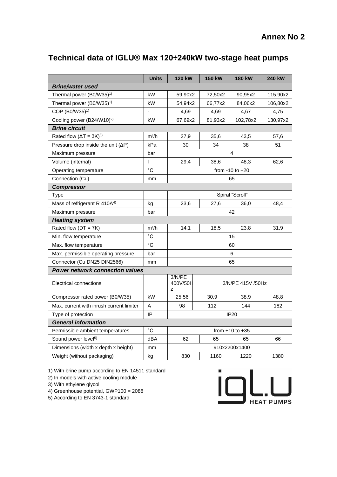# **Annex No 2**

# <span id="page-27-1"></span><span id="page-27-0"></span>**Technical data of IGLU® Max 120÷240kW two-stage heat pumps**

|                                            | <b>Units</b>      | 120 kW                  | <b>150 kW</b>     | 180 kW   | 240 kW   |  |  |
|--------------------------------------------|-------------------|-------------------------|-------------------|----------|----------|--|--|
| <b>Brine/water used</b>                    |                   |                         |                   |          |          |  |  |
| Thermal power (B0/W35) <sup>1)</sup>       | kW                | 59,90x2                 | 72,50x2           | 90,95x2  | 115,90x2 |  |  |
| Thermal power (B0/W35) <sup>1)</sup>       | kW                | 54,94x2                 | 66,77x2           | 84,06x2  | 106,80x2 |  |  |
| COP (B0/W35) <sup>1)</sup>                 | ÷                 | 4,69                    | 4,69              | 4,67     | 4,75     |  |  |
| Cooling power (B24/W10) <sup>2)</sup>      | kW                | 67,69x2                 | 81,93x2           | 102,78x2 | 130,97x2 |  |  |
| <b>Brine circuit</b>                       |                   |                         |                   |          |          |  |  |
| Rated flow $(\Delta T = 3K)^{3}$           | m <sup>3</sup> /h | 27,9                    | 35,6              | 43,5     | 57,6     |  |  |
| Pressure drop inside the unit $(\Delta P)$ | kPa               | 30                      | 34                | 38       | 51       |  |  |
| Maximum pressure                           | bar               | 4                       |                   |          |          |  |  |
| Volume (internal)                          | L                 | 29,4                    | 38.6              | 48.3     | 62,6     |  |  |
| Operating temperature                      | $^{\circ}C$       | from $-10$ to $+20$     |                   |          |          |  |  |
| Connection (Cu)                            | mm                | 65                      |                   |          |          |  |  |
| <b>Compressor</b>                          |                   |                         |                   |          |          |  |  |
| Type                                       |                   | Spiral "Scroll"         |                   |          |          |  |  |
| Mass of refrigerant R 410A <sup>4)</sup>   | kg                | 23,6                    | 27,6              | 36,0     | 48,4     |  |  |
| Maximum pressure                           | bar               | 42                      |                   |          |          |  |  |
| <b>Heating system</b>                      |                   |                         |                   |          |          |  |  |
| Rated flow $(DT = 7K)$                     | m <sup>3</sup> /h | 14,1                    | 18,5              | 23,8     | 31,9     |  |  |
| Min. flow temperature                      | $^{\circ}C$       | 15                      |                   |          |          |  |  |
| Max. flow temperature                      | $^{\circ}$ C      | 60                      |                   |          |          |  |  |
| Max. permissible operating pressure        | bar               | 6                       |                   |          |          |  |  |
| Connector (Cu DN25 DIN2566)                | mm                | 65                      |                   |          |          |  |  |
| <b>Power network connection values</b>     |                   |                         |                   |          |          |  |  |
| Electrical connections                     |                   | 3/N/PE<br>400V/50H<br>z | 3/N/PE 415V /50Hz |          |          |  |  |
| Compressor rated power (B0/W35)            | kW                | 25,56                   | 30,9              | 38,9     | 48,8     |  |  |
| Max. current with inrush current limiter   | Α                 | 98                      | 112               | 144      | 182      |  |  |
| Type of protection                         | IP                | <b>IP20</b>             |                   |          |          |  |  |
| <b>General information</b>                 |                   |                         |                   |          |          |  |  |
| Permissible ambient temperatures           | $^{\circ}C$       | from $+10$ to $+35$     |                   |          |          |  |  |
| Sound power level <sup>5)</sup>            | dBA               | 62                      | 65                | 65       | 66       |  |  |
| Dimensions (width x depth x height)        | mm                | 910x2200x1400           |                   |          |          |  |  |
| Weight (without packaging)                 | kg                | 830                     | 1160              | 1220     | 1380     |  |  |

1) With brine pump according to EN 14511 standard

2) In models with active cooling module

3) With ethylene glycol

4) Greenhouse potential, GWP100 = 2088

5) According to EN 3743-1 standard

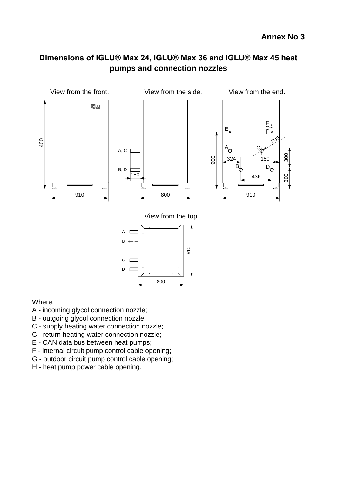# <span id="page-28-1"></span><span id="page-28-0"></span>**Dimensions of IGLU® Max 24, IGLU® Max 36 and IGLU® Max 45 heat pumps and connection nozzles**



Where:

- A incoming glycol connection nozzle;
- B outgoing glycol connection nozzle;
- C supply heating water connection nozzle;
- C return heating water connection nozzle;
- E CAN data bus between heat pumps;
- F internal circuit pump control cable opening;
- G outdoor circuit pump control cable opening;
- H heat pump power cable opening.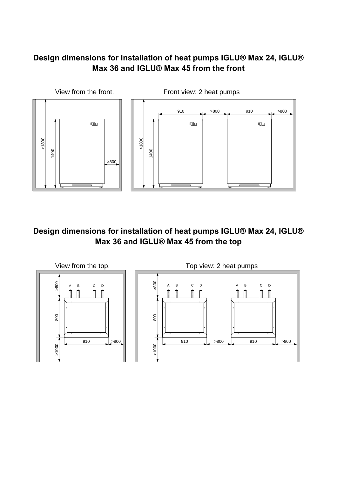# <span id="page-29-0"></span>**Design dimensions for installation of heat pumps IGLU® Max 24, IGLU® Max 36 and IGLU® Max 45 from the front**



# <span id="page-29-1"></span>**Design dimensions for installation of heat pumps IGLU® Max 24, IGLU® Max 36 and IGLU® Max 45 from the top**

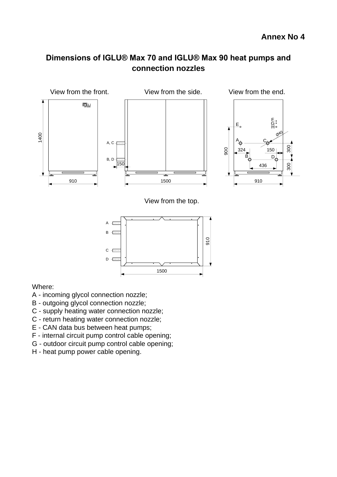# <span id="page-30-1"></span><span id="page-30-0"></span>**Dimensions of IGLU® Max 70 and IGLU® Max 90 heat pumps and connection nozzles**



Where:

- A incoming glycol connection nozzle;
- B outgoing glycol connection nozzle;
- C supply heating water connection nozzle;
- C return heating water connection nozzle;
- E CAN data bus between heat pumps;
- F internal circuit pump control cable opening;
- G outdoor circuit pump control cable opening;
- H heat pump power cable opening.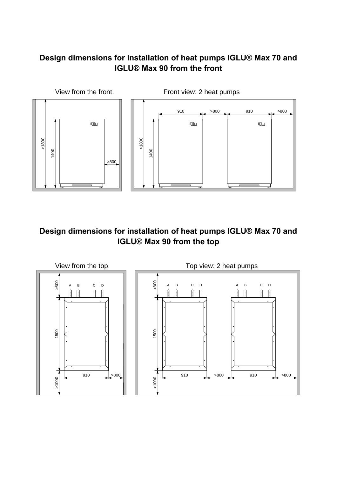# <span id="page-31-0"></span>**Design dimensions for installation of heat pumps IGLU® Max 70 and IGLU® Max 90 from the front**



# <span id="page-31-1"></span>**Design dimensions for installation of heat pumps IGLU® Max 70 and IGLU® Max 90 from the top**

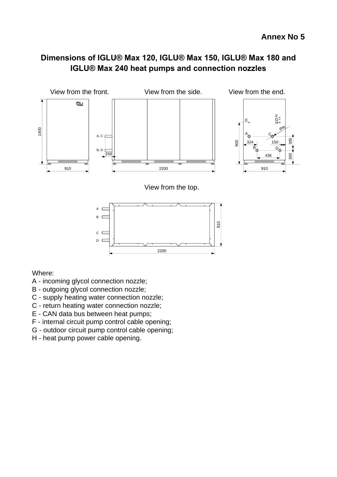# <span id="page-32-1"></span><span id="page-32-0"></span>**Dimensions of IGLU® Max 120, IGLU® Max 150, IGLU® Max 180 and IGLU® Max 240 heat pumps and connection nozzles**



Where:

- A incoming glycol connection nozzle;
- B outgoing glycol connection nozzle;
- C supply heating water connection nozzle;
- C return heating water connection nozzle;
- E CAN data bus between heat pumps;
- F internal circuit pump control cable opening;
- G outdoor circuit pump control cable opening;
- H heat pump power cable opening.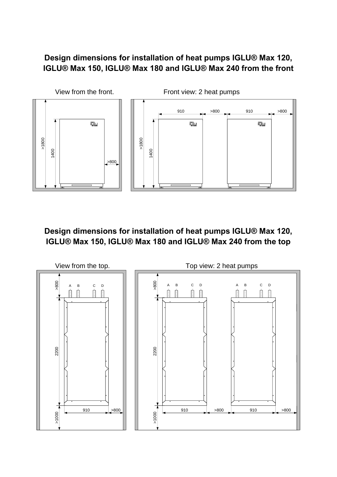# <span id="page-33-0"></span>**Design dimensions for installation of heat pumps IGLU® Max 120, IGLU® Max 150, IGLU® Max 180 and IGLU® Max 240 from the front**



<span id="page-33-1"></span>**Design dimensions for installation of heat pumps IGLU® Max 120, IGLU® Max 150, IGLU® Max 180 and IGLU® Max 240 from the top**